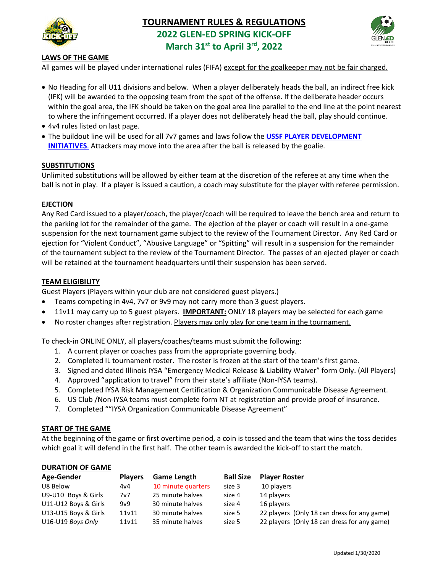

# **TOURNAMENT RULES & REGULATIONS 2022 GLEN-ED SPRING KICK-OFF March 31st to April 3rd, 2022**



## **LAWS OF THE GAME**

All games will be played under international rules (FIFA) except for the goalkeeper may not be fair charged.

- No Heading for all U11 divisions and below. When a player deliberately heads the ball, an indirect free kick (IFK) will be awarded to the opposing team from the spot of the offense. If the deliberate header occurs within the goal area, the IFK should be taken on the goal area line parallel to the end line at the point nearest to where the infringement occurred. If a player does not deliberately head the ball, play should continue.
- 4v4 rules listed on last page.
- The buildout line will be used for all 7v7 games and laws follow the **[USSF PLAYER DEVELOPMENT](https://ds-web-assets.s3.amazonaws.com/f75ea756-fc10-4079-b9c2-7a99d906af47/f-7172ae10-d0c2-47dc-a630-5ecdae7aa698/PDI%20aug2017%20ENG%201-.pdf)  [INITIATIVES](https://ds-web-assets.s3.amazonaws.com/f75ea756-fc10-4079-b9c2-7a99d906af47/f-7172ae10-d0c2-47dc-a630-5ecdae7aa698/PDI%20aug2017%20ENG%201-.pdf)**. Attackers may move into the area after the ball is released by the goalie.

## **SUBSTITUTIONS**

Unlimited substitutions will be allowed by either team at the discretion of the referee at any time when the ball is not in play. If a player is issued a caution, a coach may substitute for the player with referee permission.

### **EJECTION**

Any Red Card issued to a player/coach, the player/coach will be required to leave the bench area and return to the parking lot for the remainder of the game. The ejection of the player or coach will result in a one-game suspension for the next tournament game subject to the review of the Tournament Director. Any Red Card or ejection for "Violent Conduct", "Abusive Language" or "Spitting" will result in a suspension for the remainder of the tournament subject to the review of the Tournament Director. The passes of an ejected player or coach will be retained at the tournament headquarters until their suspension has been served.

### **TEAM ELIGIBILITY**

Guest Players (Players within your club are not considered guest players.)

- Teams competing in 4v4, 7v7 or 9v9 may not carry more than 3 guest players.
- 11v11 may carry up to 5 guest players. **IMPORTANT:** ONLY 18 players may be selected for each game
- No roster changes after registration. Players may only play for one team in the tournament.

To check-in ONLINE ONLY, all players/coaches/teams must submit the following:

- 1. A current player or coaches pass from the appropriate governing body.
- 2. Completed IL tournament roster. The roster is frozen at the start of the team's first game.
- 3. Signed and dated Illinois IYSA "Emergency Medical Release & Liability Waiver" form Only. (All Players)
- 4. Approved "application to travel" from their state's affiliate (Non-IYSA teams).
- 5. Completed IYSA Risk Management Certification & Organization Communicable Disease Agreement.
- 6. US Club /Non-IYSA teams must complete form NT at registration and provide proof of insurance.
- 7. Completed ""IYSA Organization Communicable Disease Agreement"

## **START OF THE GAME**

At the beginning of the game or first overtime period, a coin is tossed and the team that wins the toss decides which goal it will defend in the first half. The other team is awarded the kick-off to start the match.

#### **DURATION OF GAME**

| Age-Gender           | <b>Players</b> | <b>Game Length</b> | <b>Ball Size</b> | <b>Player Roster</b>                        |
|----------------------|----------------|--------------------|------------------|---------------------------------------------|
| U8 Below             | 4v4            | 10 minute quarters | size 3           | 10 players                                  |
| U9-U10 Boys & Girls  | 7v7            | 25 minute halves   | size 4           | 14 players                                  |
| U11-U12 Boys & Girls | 9v9            | 30 minute halves   | size 4           | 16 players                                  |
| U13-U15 Boys & Girls | 11v11          | 30 minute halves   | size 5           | 22 players (Only 18 can dress for any game) |
| U16-U19 Boys Only    | 11v11          | 35 minute halves   | size 5           | 22 players (Only 18 can dress for any game) |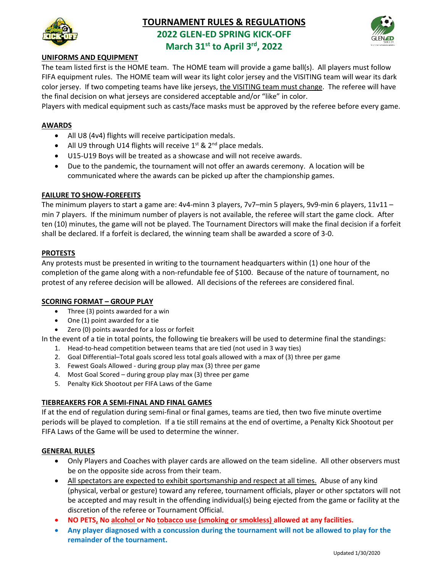

## **TOURNAMENT RULES & REGULATIONS 2022 GLEN-ED SPRING KICK-OFF**



**March 31st to April 3rd, 2022**

## **UNIFORMS AND EQUIPMENT**

The team listed first is the HOME team. The HOME team will provide a game ball(s). All players must follow FIFA equipment rules. The HOME team will wear its light color jersey and the VISITING team will wear its dark color jersey. If two competing teams have like jerseys, the VISITING team must change. The referee will have the final decision on what jerseys are considered acceptable and/or "like" in color.

Players with medical equipment such as casts/face masks must be approved by the referee before every game.

## **AWARDS**

- All U8 (4v4) flights will receive participation medals.
- All U9 through U14 flights will receive  $1^{st}$  &  $2^{nd}$  place medals.
- U15-U19 Boys will be treated as a showcase and will not receive awards.
- Due to the pandemic, the tournament will not offer an awards ceremony. A location will be communicated where the awards can be picked up after the championship games.

#### **FAILURE TO SHOW-FOREFEITS**

The minimum players to start a game are: 4v4-minn 3 players, 7v7–min 5 players, 9v9-min 6 players, 11v11 – min 7 players. If the minimum number of players is not available, the referee will start the game clock. After ten (10) minutes, the game will not be played. The Tournament Directors will make the final decision if a forfeit shall be declared. If a forfeit is declared, the winning team shall be awarded a score of 3-0.

### **PROTESTS**

Any protests must be presented in writing to the tournament headquarters within (1) one hour of the completion of the game along with a non-refundable fee of \$100. Because of the nature of tournament, no protest of any referee decision will be allowed. All decisions of the referees are considered final.

#### **SCORING FORMAT – GROUP PLAY**

- Three (3) points awarded for a win
- One (1) point awarded for a tie
- Zero (0) points awarded for a loss or forfeit

In the event of a tie in total points, the following tie breakers will be used to determine final the standings:

- 1. Head-to-head competition between teams that are tied (not used in 3 way ties)
- 2. Goal Differential–Total goals scored less total goals allowed with a max of (3) three per game
- 3. Fewest Goals Allowed during group play max (3) three per game
- 4. Most Goal Scored during group play max (3) three per game
- 5. Penalty Kick Shootout per FIFA Laws of the Game

## **TIEBREAKERS FOR A SEMI-FINAL AND FINAL GAMES**

If at the end of regulation during semi-final or final games, teams are tied, then two five minute overtime periods will be played to completion. If a tie still remains at the end of overtime, a Penalty Kick Shootout per FIFA Laws of the Game will be used to determine the winner.

#### **GENERAL RULES**

- Only Players and Coaches with player cards are allowed on the team sideline. All other observers must be on the opposite side across from their team.
- All spectators are expected to exhibit sportsmanship and respect at all times. Abuse of any kind (physical, verbal or gesture) toward any referee, tournament officials, player or other spctators will not be accepted and may result in the offending individual(s) being ejected from the game or facility at the discretion of the referee or Tournament Official.
- **NO PETS, No alcohol or No tobacco use (smoking or smokless) allowed at any facilities.**
- **Any player diagnosed with a concussion during the tournament will not be allowed to play for the remainder of the tournament.**